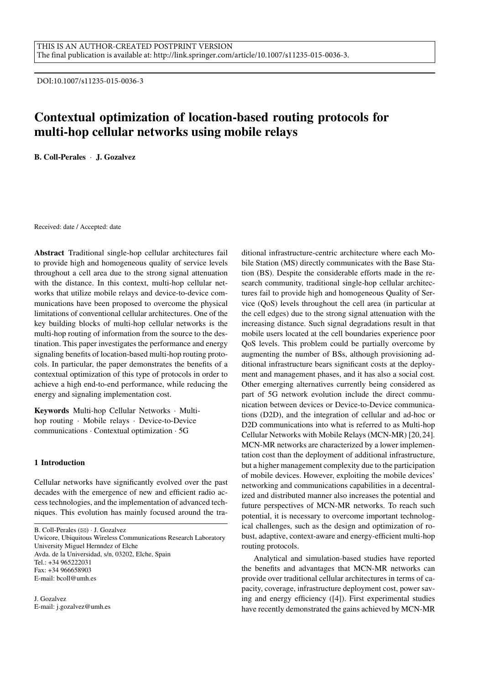DOI:10.1007/s11235-015-0036-3

# Contextual optimization of location-based routing protocols for multi-hop cellular networks using mobile relays

B. Coll-Perales *·* J. Gozalvez

Received: date / Accepted: date

Abstract Traditional single-hop cellular architectures fail to provide high and homogeneous quality of service levels throughout a cell area due to the strong signal attenuation with the distance. In this context, multi-hop cellular networks that utilize mobile relays and device-to-device communications have been proposed to overcome the physical limitations of conventional cellular architectures. One of the key building blocks of multi-hop cellular networks is the multi-hop routing of information from the source to the destination. This paper investigates the performance and energy signaling benefits of location-based multi-hop routing protocols. In particular, the paper demonstrates the benefits of a contextual optimization of this type of protocols in order to achieve a high end-to-end performance, while reducing the energy and signaling implementation cost.

Keywords Multi-hop Cellular Networks *·* Multihop routing *·* Mobile relays *·* Device-to-Device communications *·* Contextual optimization *·* 5G

# 1 Introduction

Cellular networks have significantly evolved over the past decades with the emergence of new and efficient radio access technologies, and the implementation of advanced techniques. This evolution has mainly focused around the tra-

Uwicore, Ubiquitous Wireless Communications Research Laboratory University Miguel Hernndez of Elche Avda. de la Universidad, s/n, 03202, Elche, Spain Tel.: +34 965222031 Fax: +34 966658903 E-mail: bcoll@umh.es

J. Gozalvez E-mail: j.gozalvez@umh.es ditional infrastructure-centric architecture where each Mobile Station (MS) directly communicates with the Base Station (BS). Despite the considerable efforts made in the research community, traditional single-hop cellular architectures fail to provide high and homogeneous Quality of Service (QoS) levels throughout the cell area (in particular at the cell edges) due to the strong signal attenuation with the increasing distance. Such signal degradations result in that mobile users located at the cell boundaries experience poor QoS levels. This problem could be partially overcome by augmenting the number of BSs, although provisioning additional infrastructure bears significant costs at the deployment and management phases, and it has also a social cost. Other emerging alternatives currently being considered as part of 5G network evolution include the direct communication between devices or Device-to-Device communications (D2D), and the integration of cellular and ad-hoc or D2D communications into what is referred to as Multi-hop Cellular Networks with Mobile Relays (MCN-MR) [20, 24]. MCN-MR networks are characterized by a lower implementation cost than the deployment of additional infrastructure, but a higher management complexity due to the participation of mobile devices. However, exploiting the mobile devices' networking and communications capabilities in a decentralized and distributed manner also increases the potential and future perspectives of MCN-MR networks. To reach such potential, it is necessary to overcome important technological challenges, such as the design and optimization of robust, adaptive, context-aware and energy-efficient multi-hop routing protocols.

Analytical and simulation-based studies have reported the benefits and advantages that MCN-MR networks can provide over traditional cellular architectures in terms of capacity, coverage, infrastructure deployment cost, power saving and energy efficiency ([4]). First experimental studies have recently demonstrated the gains achieved by MCN-MR

B. Coll-Perales (B) *·* J. Gozalvez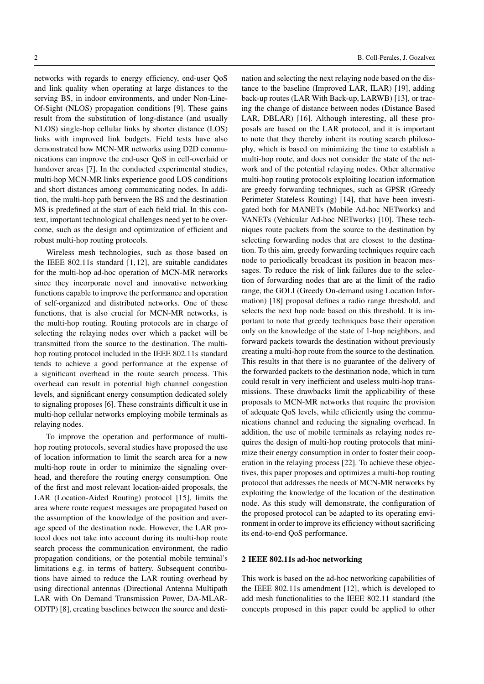networks with regards to energy efficiency, end-user QoS and link quality when operating at large distances to the serving BS, in indoor environments, and under Non-Line-Of-Sight (NLOS) propagation conditions [9]. These gains result from the substitution of long-distance (and usually NLOS) single-hop cellular links by shorter distance (LOS) links with improved link budgets. Field tests have also demonstrated how MCN-MR networks using D2D communications can improve the end-user QoS in cell-overlaid or handover areas [7]. In the conducted experimental studies, multi-hop MCN-MR links experience good LOS conditions and short distances among communicating nodes. In addition, the multi-hop path between the BS and the destination MS is predefined at the start of each field trial. In this context, important technological challenges need yet to be overcome, such as the design and optimization of efficient and robust multi-hop routing protocols.

Wireless mesh technologies, such as those based on the IEEE 802.11s standard [1, 12], are suitable candidates for the multi-hop ad-hoc operation of MCN-MR networks since they incorporate novel and innovative networking functions capable to improve the performance and operation of self-organized and distributed networks. One of these functions, that is also crucial for MCN-MR networks, is the multi-hop routing. Routing protocols are in charge of selecting the relaying nodes over which a packet will be transmitted from the source to the destination. The multihop routing protocol included in the IEEE 802.11s standard tends to achieve a good performance at the expense of a significant overhead in the route search process. This overhead can result in potential high channel congestion levels, and significant energy consumption dedicated solely to signaling proposes [6]. These constraints difficult it use in multi-hop cellular networks employing mobile terminals as relaying nodes.

To improve the operation and performance of multihop routing protocols, several studies have proposed the use of location information to limit the search area for a new multi-hop route in order to minimize the signaling overhead, and therefore the routing energy consumption. One of the first and most relevant location-aided proposals, the LAR (Location-Aided Routing) protocol [15], limits the area where route request messages are propagated based on the assumption of the knowledge of the position and average speed of the destination node. However, the LAR protocol does not take into account during its multi-hop route search process the communication environment, the radio propagation conditions, or the potential mobile terminal's limitations e.g. in terms of battery. Subsequent contributions have aimed to reduce the LAR routing overhead by using directional antennas (Directional Antenna Multipath LAR with On Demand Transmission Power, DA-MLAR-ODTP) [8], creating baselines between the source and destination and selecting the next relaying node based on the distance to the baseline (Improved LAR, ILAR) [19], adding back-up routes (LAR With Back-up, LARWB) [13], or tracing the change of distance between nodes (Distance Based LAR, DBLAR) [16]. Although interesting, all these proposals are based on the LAR protocol, and it is important to note that they thereby inherit its routing search philosophy, which is based on minimizing the time to establish a multi-hop route, and does not consider the state of the network and of the potential relaying nodes. Other alternative multi-hop routing protocols exploiting location information are greedy forwarding techniques, such as GPSR (Greedy Perimeter Stateless Routing) [14], that have been investigated both for MANETs (Mobile Ad-hoc NETworks) and VANETs (Vehicular Ad-hoc NETworks) [10]. These techniques route packets from the source to the destination by selecting forwarding nodes that are closest to the destination. To this aim, greedy forwarding techniques require each node to periodically broadcast its position in beacon messages. To reduce the risk of link failures due to the selection of forwarding nodes that are at the limit of the radio range, the GOLI (Greedy On-demand using Location Information) [18] proposal defines a radio range threshold, and selects the next hop node based on this threshold. It is important to note that greedy techniques base their operation only on the knowledge of the state of 1-hop neighbors, and forward packets towards the destination without previously creating a multi-hop route from the source to the destination. This results in that there is no guarantee of the delivery of the forwarded packets to the destination node, which in turn could result in very inefficient and useless multi-hop transmissions. These drawbacks limit the applicability of these proposals to MCN-MR networks that require the provision of adequate QoS levels, while efficiently using the communications channel and reducing the signaling overhead. In addition, the use of mobile terminals as relaying nodes requires the design of multi-hop routing protocols that minimize their energy consumption in order to foster their cooperation in the relaying process [22]. To achieve these objectives, this paper proposes and optimizes a multi-hop routing protocol that addresses the needs of MCN-MR networks by exploiting the knowledge of the location of the destination node. As this study will demonstrate, the configuration of the proposed protocol can be adapted to its operating environment in order to improve its efficiency without sacrificing its end-to-end QoS performance.

#### 2 IEEE 802.11s ad-hoc networking

This work is based on the ad-hoc networking capabilities of the IEEE 802.11s amendment [12], which is developed to add mesh functionalities to the IEEE 802.11 standard (the concepts proposed in this paper could be applied to other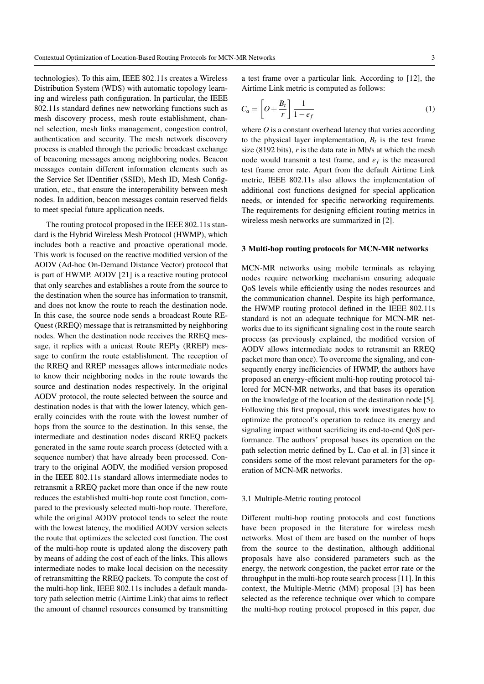technologies). To this aim, IEEE 802.11s creates a Wireless Distribution System (WDS) with automatic topology learning and wireless path configuration. In particular, the IEEE 802.11s standard defines new networking functions such as mesh discovery process, mesh route establishment, channel selection, mesh links management, congestion control, authentication and security. The mesh network discovery process is enabled through the periodic broadcast exchange of beaconing messages among neighboring nodes. Beacon messages contain different information elements such as the Service Set IDentifier (SSID), Mesh ID, Mesh Configuration, etc., that ensure the interoperability between mesh nodes. In addition, beacon messages contain reserved fields to meet special future application needs.

The routing protocol proposed in the IEEE 802.11s standard is the Hybrid Wireless Mesh Protocol (HWMP), which includes both a reactive and proactive operational mode. This work is focused on the reactive modified version of the AODV (Ad-hoc On-Demand Distance Vector) protocol that is part of HWMP. AODV [21] is a reactive routing protocol that only searches and establishes a route from the source to the destination when the source has information to transmit, and does not know the route to reach the destination node. In this case, the source node sends a broadcast Route RE-Quest (RREQ) message that is retransmitted by neighboring nodes. When the destination node receives the RREQ message, it replies with a unicast Route REPly (RREP) message to confirm the route establishment. The reception of the RREQ and RREP messages allows intermediate nodes to know their neighboring nodes in the route towards the source and destination nodes respectively. In the original AODV protocol, the route selected between the source and destination nodes is that with the lower latency, which generally coincides with the route with the lowest number of hops from the source to the destination. In this sense, the intermediate and destination nodes discard RREQ packets generated in the same route search process (detected with a sequence number) that have already been processed. Contrary to the original AODV, the modified version proposed in the IEEE 802.11s standard allows intermediate nodes to retransmit a RREQ packet more than once if the new route reduces the established multi-hop route cost function, compared to the previously selected multi-hop route. Therefore, while the original AODV protocol tends to select the route with the lowest latency, the modified AODV version selects the route that optimizes the selected cost function. The cost of the multi-hop route is updated along the discovery path by means of adding the cost of each of the links. This allows intermediate nodes to make local decision on the necessity of retransmitting the RREQ packets. To compute the cost of the multi-hop link, IEEE 802.11s includes a default mandatory path selection metric (Airtime Link) that aims to reflect the amount of channel resources consumed by transmitting

a test frame over a particular link. According to [12], the Airtime Link metric is computed as follows:

$$
C_a = \left[O + \frac{B_t}{r}\right] \frac{1}{1 - e_f} \tag{1}
$$

where  $O$  is a constant overhead latency that varies according to the physical layer implementation,  $B_t$  is the test frame size (8192 bits), *r* is the data rate in Mb/s at which the mesh node would transmit a test frame, and  $e_f$  is the measured test frame error rate. Apart from the default Airtime Link metric, IEEE 802.11s also allows the implementation of additional cost functions designed for special application needs, or intended for specific networking requirements. The requirements for designing efficient routing metrics in wireless mesh networks are summarized in [2].

### 3 Multi-hop routing protocols for MCN-MR networks

MCN-MR networks using mobile terminals as relaying nodes require networking mechanism ensuring adequate QoS levels while efficiently using the nodes resources and the communication channel. Despite its high performance, the HWMP routing protocol defined in the IEEE 802.11s standard is not an adequate technique for MCN-MR networks due to its significant signaling cost in the route search process (as previously explained, the modified version of AODV allows intermediate nodes to retransmit an RREQ packet more than once). To overcome the signaling, and consequently energy inefficiencies of HWMP, the authors have proposed an energy-efficient multi-hop routing protocol tailored for MCN-MR networks, and that bases its operation on the knowledge of the location of the destination node [5]. Following this first proposal, this work investigates how to optimize the protocol's operation to reduce its energy and signaling impact without sacrificing its end-to-end QoS performance. The authors' proposal bases its operation on the path selection metric defined by L. Cao et al. in [3] since it considers some of the most relevant parameters for the operation of MCN-MR networks.

#### 3.1 Multiple-Metric routing protocol

Different multi-hop routing protocols and cost functions have been proposed in the literature for wireless mesh networks. Most of them are based on the number of hops from the source to the destination, although additional proposals have also considered parameters such as the energy, the network congestion, the packet error rate or the throughput in the multi-hop route search process [11]. In this context, the Multiple-Metric (MM) proposal [3] has been selected as the reference technique over which to compare the multi-hop routing protocol proposed in this paper, due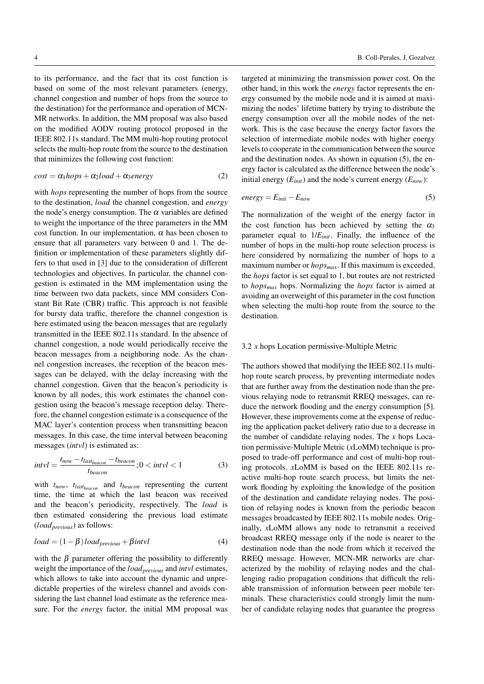to its performance, and the fact that its cost function is based on some of the most relevant parameters (energy, channel congestion and number of hops from the source to the destination) for the performance and operation of MCN-MR networks. In addition, the MM proposal was also based on the modified AODV routing protocol proposed in the IEEE 802.11s standard. The MM multi-hop routing protocol selects the multi-hop route from the source to the destination that minimizes the following cost function:

$$
cost = \alpha_1 hops + \alpha_2 load + \alpha_3 energy \tag{2}
$$

with *hops* representing the number of hops from the source to the destination, *load* the channel congestion, and *energy* the node's energy consumption. The  $\alpha$  variables are defined to weight the importance of the three parameters in the MM cost function. In our implementation,  $\alpha$  has been chosen to ensure that all parameters vary between 0 and 1. The definition or implementation of these parameters slightly differs to that used in [3] due to the consideration of different technologies and objectives. In particular, the channel congestion is estimated in the MM implementation using the time between two data packets, since MM considers Constant Bit Rate (CBR) traffic. This approach is not feasible for bursty data traffic, therefore the channel congestion is here estimated using the beacon messages that are regularly transmitted in the IEEE 802.11s standard. In the absence of channel congestion, a node would periodically receive the beacon messages from a neighboring node. As the channel congestion increases, the reception of the beacon messages can be delayed, with the delay increasing with the channel congestion. Given that the beacon's periodicity is known by all nodes, this work estimates the channel congestion using the beacon's message reception delay. Therefore, the channel congestion estimate is a consequence of the MAC layer's contention process when transmitting beacon messages. In this case, the time interval between beaconing messages (*intvl*) is estimated as:

$$
intvl = \frac{t_{now} - t_{last_{beacon}} - t_{beacon}}{t_{beacon}}; 0 < intvl < 1\tag{3}
$$

with *tnow*, *tlastbeacon* and *tbeacon* representing the current time, the time at which the last beacon was received and the beacon's periodicity, respectively. The *load* is then estimated considering the previous load estimate (*loadprevious*) as follows:

$$
load = (1 - \beta) load_{previous} + \beta \text{intvl}
$$
 (4)

with the  $\beta$  parameter offering the possibility to differently weight the importance of the *loadprevious* and *intvl* estimates, which allows to take into account the dynamic and unpredictable properties of the wireless channel and avoids considering the last channel load estimate as the reference measure. For the *energy* factor, the initial MM proposal was

targeted at minimizing the transmission power cost. On the other hand, in this work the *energy* factor represents the energy consumed by the mobile node and it is aimed at maximizing the nodes' lifetime battery by trying to distribute the energy consumption over all the mobile nodes of the network. This is the case because the energy factor favors the selection of intermediate mobile nodes with higher energy levels to cooperate in the communication between the source and the destination nodes. As shown in equation (5), the energy factor is calculated as the difference between the node's initial energy  $(E_{init})$  and the node's current energy  $(E_{now})$ :

$$
energy = E_{init} - E_{now} \tag{5}
$$

The normalization of the weight of the energy factor in the cost function has been achieved by setting the  $\alpha_3$ parameter equal to 1/*Einit*. Finally, the influence of the number of hops in the multi-hop route selection process is here considered by normalizing the number of hops to a maximum number or *hopsmax*. If this maximum is exceeded, the *hops* factor is set equal to 1, but routes are not restricted to *hopsmax* hops. Normalizing the *hops* factor is aimed at avoiding an overweight of this parameter in the cost function when selecting the multi-hop route from the source to the destination.

# 3.2 *x* hops Location permissive-Multiple Metric

The authors showed that modifying the IEEE 802.11s multihop route search process, by preventing intermediate nodes that are further away from the destination node than the previous relaying node to retransmit RREQ messages, can reduce the network flooding and the energy consumption [5]. However, these improvements come at the expense of reducing the application packet delivery ratio due to a decrease in the number of candidate relaying nodes. The *x* hops Location permissive-Multiple Metric (*x*LoMM) technique is proposed to trade-off performance and cost of multi-hop routing protocols. *x*LoMM is based on the IEEE 802.11s reactive multi-hop route search process, but limits the network flooding by exploiting the knowledge of the position of the destination and candidate relaying nodes. The position of relaying nodes is known from the periodic beacon messages broadcasted by IEEE 802.11s mobile nodes. Originally, *x*LoMM allows any node to retransmit a received broadcast RREQ message only if the node is nearer to the destination node than the node from which it received the RREQ message. However, MCN-MR networks are characterized by the mobility of relaying nodes and the challenging radio propagation conditions that difficult the reliable transmission of information between peer mobile terminals. These characteristics could strongly limit the number of candidate relaying nodes that guarantee the progress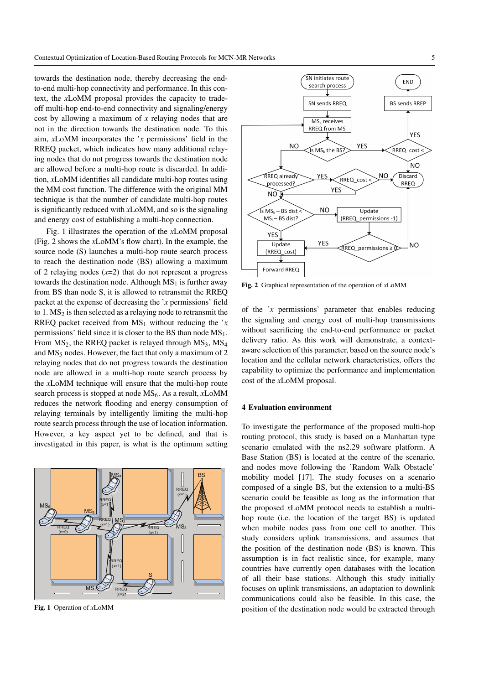towards the destination node, thereby decreasing the endto-end multi-hop connectivity and performance. In this context, the *x*LoMM proposal provides the capacity to tradeoff multi-hop end-to-end connectivity and signaling/energy cost by allowing a maximum of *x* relaying nodes that are not in the direction towards the destination node. To this aim, *x*LoMM incorporates the '*x* permissions' field in the RREQ packet, which indicates how many additional relaying nodes that do not progress towards the destination node are allowed before a multi-hop route is discarded. In addition, *x*LoMM identifies all candidate multi-hop routes using the MM cost function. The difference with the original MM technique is that the number of candidate multi-hop routes is significantly reduced with *x*LoMM, and so is the signaling and energy cost of establishing a multi-hop connection.

Fig. 1 illustrates the operation of the *x*LoMM proposal (Fig. 2 shows the *x*LoMM's flow chart). In the example, the source node (S) launches a multi-hop route search process to reach the destination node (BS) allowing a maximum of 2 relaying nodes  $(x=2)$  that do not represent a progress towards the destination node. Although  $MS<sub>1</sub>$  is further away from BS than node S, it is allowed to retransmit the RREQ packet at the expense of decreasing the '*x* permissions' field to 1.  $MS<sub>2</sub>$  is then selected as a relaying node to retransmit the RREQ packet received from  $MS_1$  without reducing the '*x* permissions' field since it is closer to the BS than node  $MS<sub>1</sub>$ . From  $MS_2$ , the RREQ packet is relayed through  $MS_3$ ,  $MS_4$ and  $MS<sub>5</sub>$  nodes. However, the fact that only a maximum of 2 relaying nodes that do not progress towards the destination node are allowed in a multi-hop route search process by the *x*LoMM technique will ensure that the multi-hop route search process is stopped at node  $MS_6$ . As a result, *x*LoMM reduces the network flooding and energy consumption of relaying terminals by intelligently limiting the multi-hop route search process through the use of location information. However, a key aspect yet to be defined, and that is investigated in this paper, is what is the optimum setting



Fig. 1 Operation of *x*LoMM



Fig. 2 Graphical representation of the operation of *x*LoMM

of the '*x* permissions' parameter that enables reducing the signaling and energy cost of multi-hop transmissions without sacrificing the end-to-end performance or packet delivery ratio. As this work will demonstrate, a contextaware selection of this parameter, based on the source node's location and the cellular network characteristics, offers the capability to optimize the performance and implementation cost of the *x*LoMM proposal.

# 4 Evaluation environment

To investigate the performance of the proposed multi-hop routing protocol, this study is based on a Manhattan type scenario emulated with the ns2.29 software platform. A Base Station (BS) is located at the centre of the scenario, and nodes move following the 'Random Walk Obstacle' mobility model [17]. The study focuses on a scenario composed of a single BS, but the extension to a multi-BS scenario could be feasible as long as the information that the proposed *x*LoMM protocol needs to establish a multihop route (i.e. the location of the target BS) is updated when mobile nodes pass from one cell to another. This study considers uplink transmissions, and assumes that the position of the destination node (BS) is known. This assumption is in fact realistic since, for example, many countries have currently open databases with the location of all their base stations. Although this study initially focuses on uplink transmissions, an adaptation to downlink communications could also be feasible. In this case, the position of the destination node would be extracted through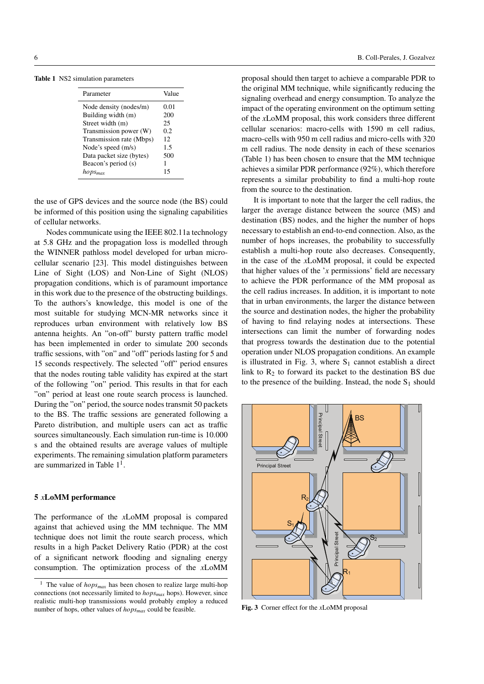Table 1 NS2 simulation parameters

| Parameter                | Value |
|--------------------------|-------|
| Node density (nodes/m)   | 0.01  |
| Building width (m)       | 200   |
| Street width (m)         | 25    |
| Transmission power (W)   | 0.2   |
| Transmission rate (Mbps) | 12    |
| Node's speed (m/s)       | 1.5   |
| Data packet size (bytes) | 500   |
| Beacon's period (s)      |       |
| $hops_{max}$             | 15    |

the use of GPS devices and the source node (the BS) could be informed of this position using the signaling capabilities of cellular networks.

Nodes communicate using the IEEE 802.11a technology at 5.8 GHz and the propagation loss is modelled through the WINNER pathloss model developed for urban microcellular scenario [23]. This model distinguishes between Line of Sight (LOS) and Non-Line of Sight (NLOS) propagation conditions, which is of paramount importance in this work due to the presence of the obstructing buildings. To the authors's knowledge, this model is one of the most suitable for studying MCN-MR networks since it reproduces urban environment with relatively low BS antenna heights. An "on-off" bursty pattern traffic model has been implemented in order to simulate 200 seconds traffic sessions, with "on" and "off" periods lasting for 5 and 15 seconds respectively. The selected "off" period ensures that the nodes routing table validity has expired at the start of the following "on" period. This results in that for each "on" period at least one route search process is launched. During the "on" period, the source nodes transmit 50 packets to the BS. The traffic sessions are generated following a Pareto distribution, and multiple users can act as traffic sources simultaneously. Each simulation run-time is 10.000 s and the obtained results are average values of multiple experiments. The remaining simulation platform parameters are summarized in Table  $1<sup>1</sup>$ .

# 5 *x*LoMM performance

The performance of the *x*LoMM proposal is compared against that achieved using the MM technique. The MM technique does not limit the route search process, which results in a high Packet Delivery Ratio (PDR) at the cost of a significant network flooding and signaling energy consumption. The optimization process of the *x*LoMM proposal should then target to achieve a comparable PDR to the original MM technique, while significantly reducing the signaling overhead and energy consumption. To analyze the impact of the operating environment on the optimum setting of the *x*LoMM proposal, this work considers three different cellular scenarios: macro-cells with 1590 m cell radius, macro-cells with 950 m cell radius and micro-cells with 320 m cell radius. The node density in each of these scenarios (Table 1) has been chosen to ensure that the MM technique achieves a similar PDR performance (92%), which therefore represents a similar probability to find a multi-hop route from the source to the destination.

It is important to note that the larger the cell radius, the larger the average distance between the source (MS) and destination (BS) nodes, and the higher the number of hops necessary to establish an end-to-end connection. Also, as the number of hops increases, the probability to successfully establish a multi-hop route also decreases. Consequently, in the case of the *x*LoMM proposal, it could be expected that higher values of the '*x* permissions' field are necessary to achieve the PDR performance of the MM proposal as the cell radius increases. In addition, it is important to note that in urban environments, the larger the distance between the source and destination nodes, the higher the probability of having to find relaying nodes at intersections. These intersections can limit the number of forwarding nodes that progress towards the destination due to the potential operation under NLOS propagation conditions. An example is illustrated in Fig. 3, where  $S_1$  cannot establish a direct link to  $R_2$  to forward its packet to the destination BS due to the presence of the building. Instead, the node  $S_1$  should



Fig. 3 Corner effect for the *x*LoMM proposal

<sup>1</sup> The value of *hopsmax* has been chosen to realize large multi-hop connections (not necessarily limited to *hopsmax* hops). However, since realistic multi-hop transmissions would probably employ a reduced number of hops, other values of *hopsmax* could be feasible.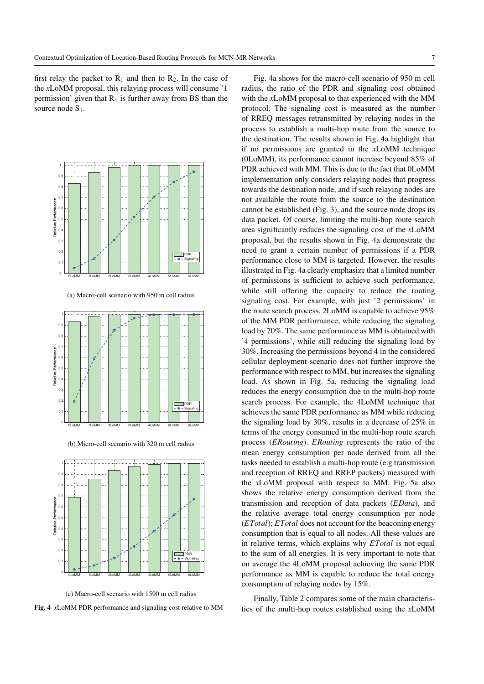first relay the packet to  $R_1$  and then to  $R_2$ . In the case of the *x*LoMM proposal, this relaying process will consume '1 permission' given that  $R_1$  is further away from BS than the source node  $S_1$ .



(a) Macro-cell scenario with 950 m cell radius



(b) Micro-cell scenario with 320 m cell radius





Fig. 4 *x*LoMM PDR performance and signaling cost relative to MM

Fig. 4a shows for the macro-cell scenario of 950 m cell radius, the ratio of the PDR and signaling cost obtained with the *x*LoMM proposal to that experienced with the MM protocol. The signaling cost is measured as the number of RREQ messages retransmitted by relaying nodes in the process to establish a multi-hop route from the source to the destination. The results shown in Fig. 4a highlight that if no permissions are granted in the *x*LoMM technique (0LoMM), its performance cannot increase beyond 85% of PDR achieved with MM. This is due to the fact that 0LoMM implementation only considers relaying nodes that progress towards the destination node, and if such relaying nodes are not available the route from the source to the destination cannot be established (Fig. 3), and the source node drops its data packet. Of course, limiting the multi-hop route search area significantly reduces the signaling cost of the *x*LoMM proposal, but the results shown in Fig. 4a demonstrate the need to grant a certain number of permissions if a PDR performance close to MM is targeted. However, the results illustrated in Fig. 4a clearly emphasize that a limited number of permissions is sufficient to achieve such performance, while still offering the capacity to reduce the routing signaling cost. For example, with just '2 permissions' in the route search process, 2LoMM is capable to achieve 95% of the MM PDR performance, while reducing the signaling load by 70%. The same performance as MM is obtained with '4 permissions', while still reducing the signaling load by 30%. Increasing the permissions beyond 4 in the considered cellular deployment scenario does not further improve the performance with respect to MM, but increases the signaling load. As shown in Fig. 5a, reducing the signaling load reduces the energy consumption due to the multi-hop route search process. For example, the 4LoMM technique that achieves the same PDR performance as MM while reducing the signaling load by 30%, results in a decrease of 25% in terms of the energy consumed in the multi-hop route search process (*ERouting*). *ERouting* represents the ratio of the mean energy consumption per node derived from all the tasks needed to establish a multi-hop route (e.g transmission and reception of RREQ and RREP packets) measured with the *x*LoMM proposal with respect to MM. Fig. 5a also shows the relative energy consumption derived from the transmission and reception of data packets (*EData*), and the relative average total energy consumption per node (*ETotal*); *ETotal* does not account for the beaconing energy consumption that is equal to all nodes. All these values are in relative terms, which explains why *ETotal* is not equal to the sum of all energies. It is very important to note that on average the 4LoMM proposal achieving the same PDR performance as MM is capable to reduce the total energy consumption of relaying nodes by 15%.

Finally, Table 2 compares some of the main characteristics of the multi-hop routes established using the *x*LoMM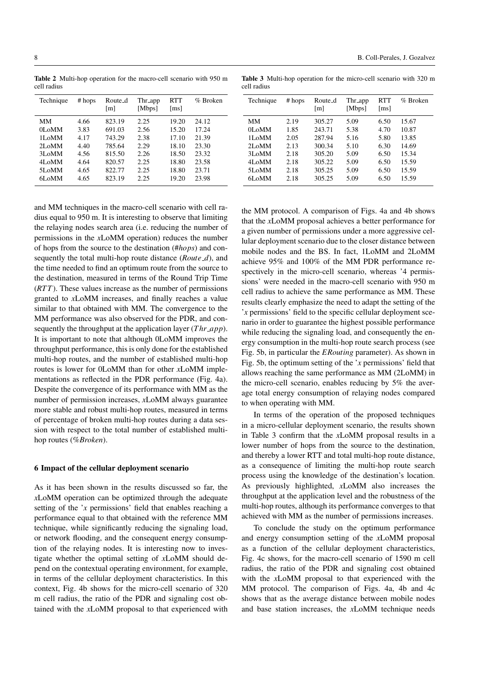Table 2 Multi-hop operation for the macro-cell scenario with 950 m cell radius

Table 3 Multi-hop operation for the micro-cell scenario with 320 m cell radius

| Technique | # hops | Route_d<br>$\lceil m \rceil$ | Thr_app<br>[Mbps] | RTT<br>$\lceil ms \rceil$ | $%$ Broken |
|-----------|--------|------------------------------|-------------------|---------------------------|------------|
| MМ        | 4.66   | 823.19                       | 2.25              | 19.20                     | 24.12      |
| $0$ LoMM  | 3.83   | 691.03                       | 2.56              | 15.20                     | 17.24      |
| 1LoMM     | 4.17   | 743.29                       | 2.38              | 17.10                     | 21.39      |
| 2LoMM     | 4.40   | 785.64                       | 2.29              | 18.10                     | 23.30      |
| 3LoMM     | 4.56   | 815.50                       | 2.26              | 18.50                     | 23.32      |
| 4LoMM     | 4.64   | 820.57                       | 2.25              | 18.80                     | 23.58      |
| 5LoMM     | 4.65   | 822.77                       | 2.25              | 18.80                     | 23.71      |
| 6LoMM     | 4.65   | 823.19                       | 2.25              | 19.20                     | 23.98      |

and MM techniques in the macro-cell scenario with cell radius equal to 950 m. It is interesting to observe that limiting the relaying nodes search area (i.e. reducing the number of permissions in the *x*LoMM operation) reduces the number of hops from the source to the destination (#*hops*) and consequently the total multi-hop route distance (*Route d*), and the time needed to find an optimum route from the source to the destination, measured in terms of the Round Trip Time (*RT T*). These values increase as the number of permissions granted to *x*LoMM increases, and finally reaches a value similar to that obtained with MM. The convergence to the MM performance was also observed for the PDR, and consequently the throughput at the application layer (*T hr app*). It is important to note that although 0LoMM improves the throughput performance, this is only done for the established multi-hop routes, and the number of established multi-hop routes is lower for 0LoMM than for other *x*LoMM implementations as reflected in the PDR performance (Fig. 4a). Despite the convergence of its performance with MM as the number of permission increases, *x*LoMM always guarantee more stable and robust multi-hop routes, measured in terms of percentage of broken multi-hop routes during a data session with respect to the total number of established multihop routes (%*Broken*).

## 6 Impact of the cellular deployment scenario

As it has been shown in the results discussed so far, the *x*LoMM operation can be optimized through the adequate setting of the '*x* permissions' field that enables reaching a performance equal to that obtained with the reference MM technique, while significantly reducing the signaling load, or network flooding, and the consequent energy consumption of the relaying nodes. It is interesting now to investigate whether the optimal setting of *x*LoMM should depend on the contextual operating environment, for example, in terms of the cellular deployment characteristics. In this context, Fig. 4b shows for the micro-cell scenario of 320 m cell radius, the ratio of the PDR and signaling cost obtained with the *x*LoMM proposal to that experienced with

| Technique                      | $#$ hops | Route d<br>$\lceil m \rceil$ | Thr_app<br>[Mbps] | <b>RTT</b><br>$\lceil ms \rceil$ | $%$ Broken |
|--------------------------------|----------|------------------------------|-------------------|----------------------------------|------------|
| MМ                             | 2.19     | 305.27                       | 5.09              | 6.50                             | 15.67      |
| $MMO$ IO                       | 1.85     | 243.71                       | 5.38              | 4.70                             | 10.87      |
| 1LoMM                          | 2.05     | 287.94                       | 5.16              | 5.80                             | 13.85      |
| 2L <sub>0</sub> M <sub>M</sub> | 2.13     | 300.34                       | 5.10              | 6.30                             | 14.69      |
| 3LoMM                          | 2.18     | 305.20                       | 5.09              | 6.50                             | 15.34      |
| 4LoMM                          | 2.18     | 305.22                       | 5.09              | 6.50                             | 15.59      |
| 5LoMM                          | 2.18     | 305.25                       | 5.09              | 6.50                             | 15.59      |
| 6LoMM                          | 2.18     | 305.25                       | 5.09              | 6.50                             | 15.59      |
|                                |          |                              |                   |                                  |            |

the MM protocol. A comparison of Figs. 4a and 4b shows that the *x*LoMM proposal achieves a better performance for a given number of permissions under a more aggressive cellular deployment scenario due to the closer distance between mobile nodes and the BS. In fact, 1LoMM and 2LoMM achieve 95% and 100% of the MM PDR performance respectively in the micro-cell scenario, whereas '4 permissions' were needed in the macro-cell scenario with 950 m cell radius to achieve the same performance as MM. These results clearly emphasize the need to adapt the setting of the '*x* permissions' field to the specific cellular deployment scenario in order to guarantee the highest possible performance while reducing the signaling load, and consequently the energy consumption in the multi-hop route search process (see Fig. 5b, in particular the *ERouting* parameter). As shown in Fig. 5b, the optimum setting of the '*x* permissions' field that allows reaching the same performance as MM (2LoMM) in the micro-cell scenario, enables reducing by 5% the average total energy consumption of relaying nodes compared to when operating with MM.

In terms of the operation of the proposed techniques in a micro-cellular deployment scenario, the results shown in Table 3 confirm that the *x*LoMM proposal results in a lower number of hops from the source to the destination, and thereby a lower RTT and total multi-hop route distance, as a consequence of limiting the multi-hop route search process using the knowledge of the destination's location. As previously highlighted, *x*LoMM also increases the throughput at the application level and the robustness of the multi-hop routes, although its performance converges to that achieved with MM as the number of permissions increases.

To conclude the study on the optimum performance and energy consumption setting of the *x*LoMM proposal as a function of the cellular deployment characteristics, Fig. 4c shows, for the macro-cell scenario of 1590 m cell radius, the ratio of the PDR and signaling cost obtained with the *x*LoMM proposal to that experienced with the MM protocol. The comparison of Figs. 4a, 4b and 4c shows that as the average distance between mobile nodes and base station increases, the *x*LoMM technique needs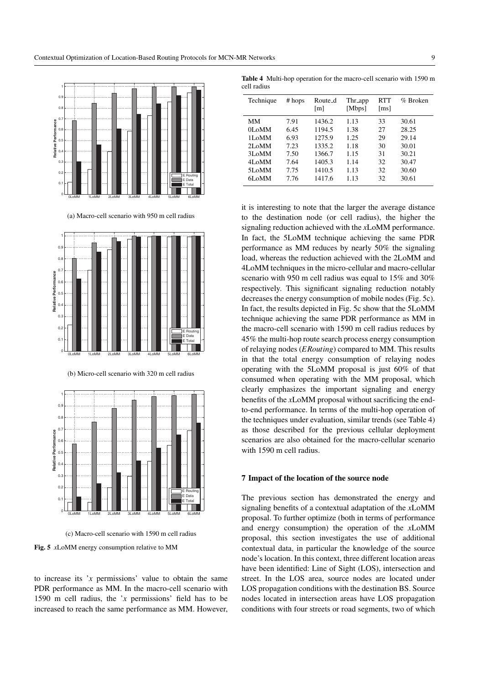

(a) Macro-cell scenario with 950 m cell radius



(b) Micro-cell scenario with 320 m cell radius





Fig. 5 *x*LoMM energy consumption relative to MM

to increase its '*x* permissions' value to obtain the same PDR performance as MM. In the macro-cell scenario with 1590 m cell radius, the '*x* permissions' field has to be increased to reach the same performance as MM. However,

Table 4 Multi-hop operation for the macro-cell scenario with 1590 m cell radius

| Technique          | # hops | Route d<br>$\lceil m \rceil$ | Thr_app<br>[Mbps] | <b>RTT</b><br>$\lceil \text{ms} \rceil$ | $%$ Broken |
|--------------------|--------|------------------------------|-------------------|-----------------------------------------|------------|
| MМ                 | 7.91   | 1436.2                       | 1.13              | 33                                      | 30.61      |
| $0$ LoMM           | 6.45   | 1194.5                       | 1.38              | 27                                      | 28.25      |
| 1LoMM              | 6.93   | 1275.9                       | 1.25              | 29                                      | 29.14      |
| 2L <sub>o</sub> MM | 7.23   | 1335.2                       | 1.18              | 30                                      | 30.01      |
| 3LoMM              | 7.50   | 1366.7                       | 1.15              | 31                                      | 30.21      |
| 4LoMM              | 7.64   | 1405.3                       | 1.14              | 32                                      | 30.47      |
| 5LoMM              | 7.75   | 1410.5                       | 1.13              | 32                                      | 30.60      |
| 6LoMM              | 7.76   | 1417.6                       | 1.13              | 32                                      | 30.61      |

it is interesting to note that the larger the average distance to the destination node (or cell radius), the higher the signaling reduction achieved with the *x*LoMM performance. In fact, the 5LoMM technique achieving the same PDR performance as MM reduces by nearly 50% the signaling load, whereas the reduction achieved with the 2LoMM and 4LoMM techniques in the micro-cellular and macro-cellular scenario with 950 m cell radius was equal to 15% and 30% respectively. This significant signaling reduction notably decreases the energy consumption of mobile nodes (Fig. 5c). In fact, the results depicted in Fig. 5c show that the 5LoMM technique achieving the same PDR performance as MM in the macro-cell scenario with 1590 m cell radius reduces by 45% the multi-hop route search process energy consumption of relaying nodes (*ERouting*) compared to MM. This results in that the total energy consumption of relaying nodes operating with the 5LoMM proposal is just 60% of that consumed when operating with the MM proposal, which clearly emphasizes the important signaling and energy benefits of the *x*LoMM proposal without sacrificing the endto-end performance. In terms of the multi-hop operation of the techniques under evaluation, similar trends (see Table 4) as those described for the previous cellular deployment scenarios are also obtained for the macro-cellular scenario with 1590 m cell radius.

## 7 Impact of the location of the source node

The previous section has demonstrated the energy and signaling benefits of a contextual adaptation of the *x*LoMM proposal. To further optimize (both in terms of performance and energy consumption) the operation of the *x*LoMM proposal, this section investigates the use of additional contextual data, in particular the knowledge of the source node's location. In this context, three different location areas have been identified: Line of Sight (LOS), intersection and street. In the LOS area, source nodes are located under LOS propagation conditions with the destination BS. Source nodes located in intersection areas have LOS propagation conditions with four streets or road segments, two of which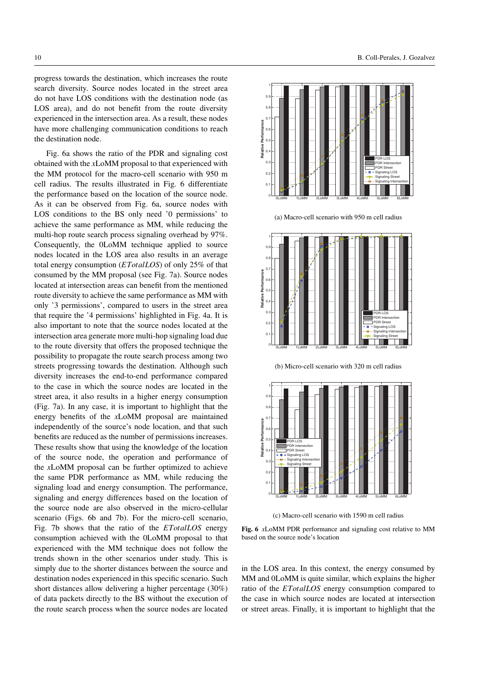progress towards the destination, which increases the route search diversity. Source nodes located in the street area do not have LOS conditions with the destination node (as LOS area), and do not benefit from the route diversity experienced in the intersection area. As a result, these nodes have more challenging communication conditions to reach the destination node.

Fig. 6a shows the ratio of the PDR and signaling cost obtained with the *x*LoMM proposal to that experienced with the MM protocol for the macro-cell scenario with 950 m cell radius. The results illustrated in Fig. 6 differentiate the performance based on the location of the source node. As it can be observed from Fig. 6a, source nodes with LOS conditions to the BS only need '0 permissions' to achieve the same performance as MM, while reducing the multi-hop route search process signaling overhead by 97%. Consequently, the 0LoMM technique applied to source nodes located in the LOS area also results in an average total energy consumption (*ETotalLOS*) of only 25% of that consumed by the MM proposal (see Fig. 7a). Source nodes located at intersection areas can benefit from the mentioned route diversity to achieve the same performance as MM with only '3 permissions', compared to users in the street area that require the '4 permissions' highlighted in Fig. 4a. It is also important to note that the source nodes located at the intersection area generate more multi-hop signaling load due to the route diversity that offers the proposed technique the possibility to propagate the route search process among two streets progressing towards the destination. Although such diversity increases the end-to-end performance compared to the case in which the source nodes are located in the street area, it also results in a higher energy consumption (Fig. 7a). In any case, it is important to highlight that the energy benefits of the *x*LoMM proposal are maintained independently of the source's node location, and that such benefits are reduced as the number of permissions increases. These results show that using the knowledge of the location of the source node, the operation and performance of the *x*LoMM proposal can be further optimized to achieve the same PDR performance as MM, while reducing the signaling load and energy consumption. The performance, signaling and energy differences based on the location of the source node are also observed in the micro-cellular scenario (Figs. 6b and 7b). For the micro-cell scenario, Fig. 7b shows that the ratio of the *ETotalLOS* energy consumption achieved with the 0LoMM proposal to that experienced with the MM technique does not follow the trends shown in the other scenarios under study. This is simply due to the shorter distances between the source and destination nodes experienced in this specific scenario. Such short distances allow delivering a higher percentage (30%) of data packets directly to the BS without the execution of the route search process when the source nodes are located



(a) Macro-cell scenario with 950 m cell radius



(b) Micro-cell scenario with 320 m cell radius



(c) Macro-cell scenario with 1590 m cell radius

Fig. 6 *x*LoMM PDR performance and signaling cost relative to MM based on the source node's location

in the LOS area. In this context, the energy consumed by MM and 0LoMM is quite similar, which explains the higher ratio of the *ETotalLOS* energy consumption compared to the case in which source nodes are located at intersection or street areas. Finally, it is important to highlight that the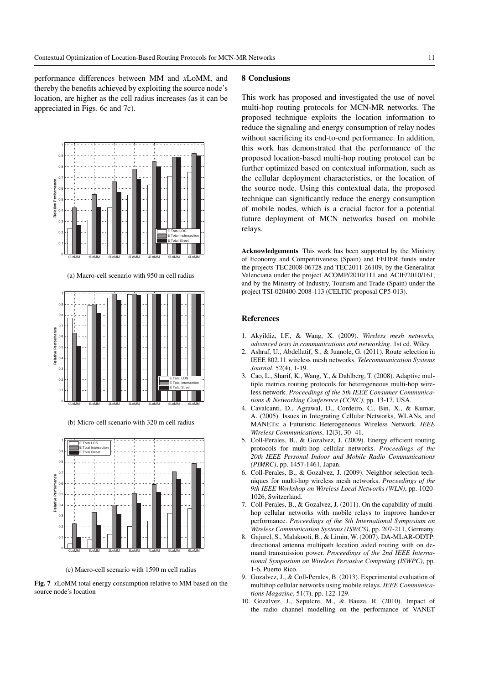performance differences between MM and *x*LoMM, and thereby the benefits achieved by exploiting the source node's location, are higher as the cell radius increases (as it can be appreciated in Figs. 6c and 7c).



(a) Macro-cell scenario with 950 m cell radius



(b) Micro-cell scenario with 320 m cell radius



(c) Macro-cell scenario with 1590 m cell radius

Fig. 7 *x*LoMM total energy consumption relative to MM based on the source node's location

# 8 Conclusions

This work has proposed and investigated the use of novel multi-hop routing protocols for MCN-MR networks. The proposed technique exploits the location information to reduce the signaling and energy consumption of relay nodes without sacrificing its end-to-end performance. In addition, this work has demonstrated that the performance of the proposed location-based multi-hop routing protocol can be further optimized based on contextual information, such as the cellular deployment characteristics, or the location of the source node. Using this contextual data, the proposed technique can significantly reduce the energy consumption of mobile nodes, which is a crucial factor for a potential future deployment of MCN networks based on mobile relays.

Acknowledgements This work has been supported by the Ministry of Economy and Competitiveness (Spain) and FEDER funds under the projects TEC2008-06728 and TEC2011-26109, by the Generalitat Valenciana under the project ACOMP/2010/111 and ACIF/2010/161, and by the Ministry of Industry, Tourism and Trade (Spain) under the project TSI-020400-2008-113 (CELTIC proposal CP5-013).

# References

- 1. Akyildiz, I.F., & Wang, X. (2009). *Wireless mesh networks, advanced texts in communications and networking*. 1st ed. Wiley.
- 2. Ashraf, U., Abdellatif, S., & Juanole, G. (2011). Route selection in IEEE 802.11 wireless mesh networks. *Telecommunication Systems Journal*, 52(4), 1-19.
- 3. Cao, L., Sharif, K., Wang, Y., & Dahlberg, T. (2008). Adaptive multiple metrics routing protocols for heterogeneous multi-hop wireless network. *Proceedings of the 5th IEEE Consumer Communications & Networking Conference (CCNC)*, pp. 13-17, USA.
- 4. Cavalcanti, D., Agrawal, D., Cordeiro, C., Bin, X., & Kumar, A. (2005). Issues in Integrating Cellular Networks, WLANs, and MANETs: a Futuristic Heterogeneous Wireless Network. *IEEE Wireless Communications*, 12(3), 30- 41.
- 5. Coll-Perales, B., & Gozalvez, J. (2009). Energy efficient routing protocols for multi-hop cellular networks. *Proceedings of the 20th IEEE Personal Indoor and Mobile Radio Communications (PIMRC)*, pp. 1457-1461, Japan.
- 6. Coll-Perales, B., & Gozalvez, J. (2009). Neighbor selection techniques for multi-hop wireless mesh networks. *Proceedings of the 9th IEEE Workshop on Wireless Local Networks (WLN)*, pp. 1020- 1026, Switzerland.
- 7. Coll-Perales, B., & Gozalvez, J. (2011). On the capability of multihop cellular networks with mobile relays to improve handover performance. *Proceedings of the 8th International Symposium on Wireless Communication Systems (ISWCS)*, pp. 207-211, Germany.
- 8. Gajurel, S., Malakooti, B., & Limin, W. (2007). DA-MLAR-ODTP: directional antenna multipath location aided routing with on demand transmission power. *Proceedings of the 2nd IEEE International Symposium on Wireless Pervasive Computing (ISWPC)*, pp. 1-6, Puerto Rico.
- 9. Gozalvez, J., & Coll-Perales, B. (2013). Experimental evaluation of multihop cellular networks using mobile relays. *IEEE Communications Magazine*, 51(7), pp. 122-129.
- 10. Gozalvez, J., Sepulcre, M., & Bauza, R. (2010). Impact of the radio channel modelling on the performance of VANET